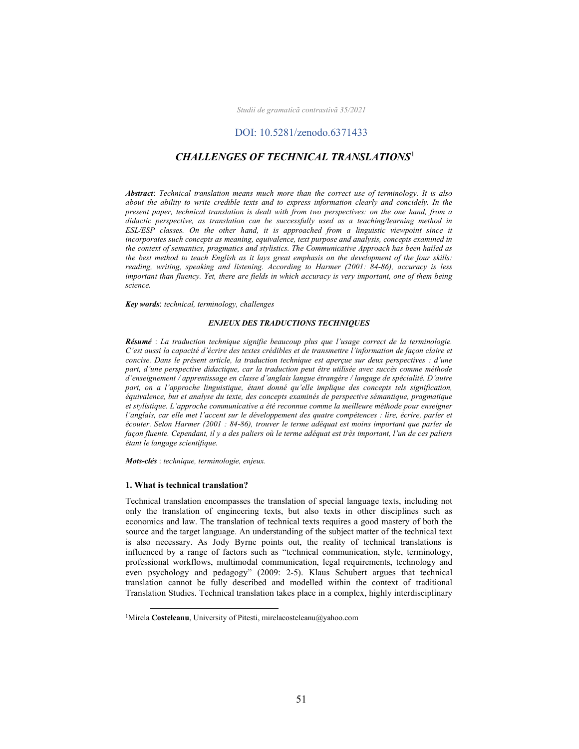Studii de gramatică contrastivă 35/2021

## DOI: 10.5281/zenodo.6371433

# CHALLENGES OF TECHNICAL TRANSLATIONS<sup>1</sup>

Abstract: Technical translation means much more than the correct use of terminology. It is also about the ability to write credible texts and to express information clearly and concidely. In the present paper, technical translation is dealt with from two perspectives: on the one hand, from a didactic perspective, as translation can be successfully used as a teaching/learning method in ESL/ESP classes. On the other hand, it is approached from a linguistic viewpoint since it incorporates such concepts as meaning, equivalence, text purpose and analysis, concepts examined in the context of semantics, pragmatics and stylistics. The Communicative Approach has been hailed as the best method to teach English as it lays great emphasis on the development of the four skills: reading, writing, speaking and listening. According to Harmer (2001: 84-86), accuracy is less important than fluency. Yet, there are fields in which accuracy is very important, one of them being science.

Key words: technical, terminology, challenges

### ENJEUX DES TRADUCTIONS TECHNIQUES

Résumé : La traduction technique signifie beaucoup plus que l'usage correct de la terminologie. C'est aussi la capacité d'écrire des textes crédibles et de transmettre l'information de façon claire et concise. Dans le présent article, la traduction technique est aperçue sur deux perspectives : d'une part, d'une perspective didactique, car la traduction peut être utilisée avec succès comme méthode d'enseignement / apprentissage en classe d'anglais langue étrangère / langage de spécialité. D'autre part, on a l'approche linguistique, étant donné qu'elle implique des concepts tels signification, équivalence, but et analyse du texte, des concepts examinés de perspective sémantique, pragmatique et stylistique. L'approche communicative a été reconnue comme la meilleure méthode pour enseigner l'anglais, car elle met l'accent sur le développement des quatre compétences : lire, écrire, parler et écouter. Selon Harmer (2001 : 84-86), trouver le terme adéquat est moins important que parler de façon fluente. Cependant, il y a des paliers où le terme adéquat est très important, l'un de ces paliers étant le langage scientifique.

Mots-clés : technique, terminologie, enjeux.

## 1. What is technical translation?

Technical translation encompasses the translation of special language texts, including not only the translation of engineering texts, but also texts in other disciplines such as economics and law. The translation of technical texts requires a good mastery of both the source and the target language. An understanding of the subject matter of the technical text is also necessary. As Jody Byrne points out, the reality of technical translations is influenced by a range of factors such as "technical communication, style, terminology, professional workflows, multimodal communication, legal requirements, technology and even psychology and pedagogy" (2009: 2-5). Klaus Schubert argues that technical translation cannot be fully described and modelled within the context of traditional Translation Studies. Technical translation takes place in a complex, highly interdisciplinary

<sup>&</sup>lt;sup>1</sup>Mirela Costeleanu, University of Pitesti, mirelacosteleanu@yahoo.com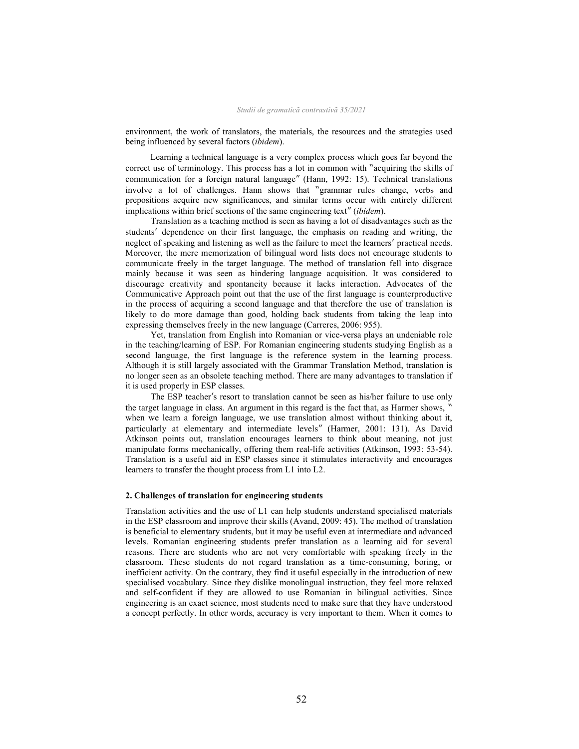environment, the work of translators, the materials, the resources and the strategies used being influenced by several factors (ibidem).

Learning a technical language is a very complex process which goes far beyond the correct use of terminology. This process has a lot in common with "acquiring the skills of communication for a foreign natural language" (Hann, 1992: 15). Technical translations involve a lot of challenges. Hann shows that "grammar rules change, verbs and prepositions acquire new significances, and similar terms occur with entirely different implications within brief sections of the same engineering text" (ibidem).

Translation as a teaching method is seen as having a lot of disadvantages such as the students' dependence on their first language, the emphasis on reading and writing, the neglect of speaking and listening as well as the failure to meet the learners' practical needs. Moreover, the mere memorization of bilingual word lists does not encourage students to communicate freely in the target language. The method of translation fell into disgrace mainly because it was seen as hindering language acquisition. It was considered to discourage creativity and spontaneity because it lacks interaction. Advocates of the Communicative Approach point out that the use of the first language is counterproductive in the process of acquiring a second language and that therefore the use of translation is likely to do more damage than good, holding back students from taking the leap into expressing themselves freely in the new language (Carreres, 2006: 955).

 Yet, translation from English into Romanian or vice-versa plays an undeniable role in the teaching/learning of ESP. For Romanian engineering students studying English as a second language, the first language is the reference system in the learning process. Although it is still largely associated with the Grammar Translation Method, translation is no longer seen as an obsolete teaching method. There are many advantages to translation if it is used properly in ESP classes.

The ESP teacher's resort to translation cannot be seen as his/her failure to use only the target language in class. An argument in this regard is the fact that, as Harmer shows, " when we learn a foreign language, we use translation almost without thinking about it, particularly at elementary and intermediate levels" (Harmer, 2001: 131). As David Atkinson points out, translation encourages learners to think about meaning, not just manipulate forms mechanically, offering them real-life activities (Atkinson, 1993: 53-54). Translation is a useful aid in ESP classes since it stimulates interactivity and encourages learners to transfer the thought process from L1 into L2.

#### 2. Challenges of translation for engineering students

Translation activities and the use of L1 can help students understand specialised materials in the ESP classroom and improve their skills (Avand, 2009: 45). The method of translation is beneficial to elementary students, but it may be useful even at intermediate and advanced levels. Romanian engineering students prefer translation as a learning aid for several reasons. There are students who are not very comfortable with speaking freely in the classroom. These students do not regard translation as a time-consuming, boring, or inefficient activity. On the contrary, they find it useful especially in the introduction of new specialised vocabulary. Since they dislike monolingual instruction, they feel more relaxed and self-confident if they are allowed to use Romanian in bilingual activities. Since engineering is an exact science, most students need to make sure that they have understood a concept perfectly. In other words, accuracy is very important to them. When it comes to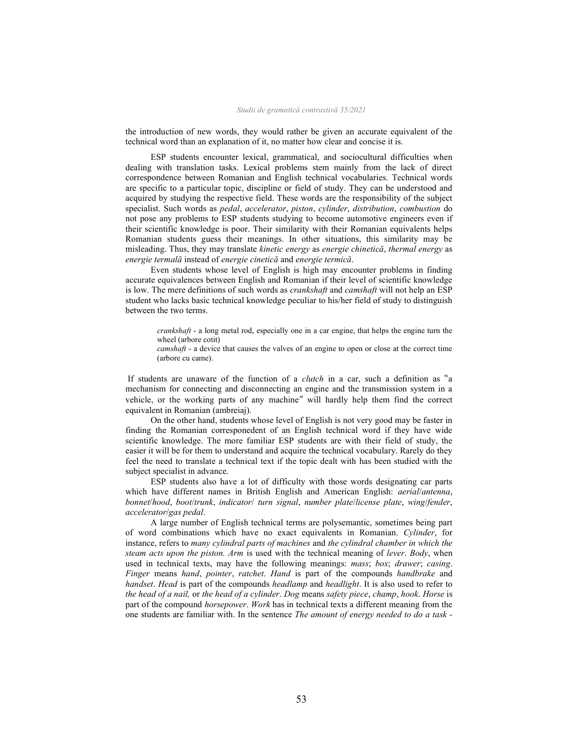the introduction of new words, they would rather be given an accurate equivalent of the technical word than an explanation of it, no matter how clear and concise it is.

ESP students encounter lexical, grammatical, and sociocultural difficulties when dealing with translation tasks. Lexical problems stem mainly from the lack of direct correspondence between Romanian and English technical vocabularies. Technical words are specific to a particular topic, discipline or field of study. They can be understood and acquired by studying the respective field. These words are the responsibility of the subject specialist. Such words as pedal, accelerator, piston, cylinder, distribution, combustion do not pose any problems to ESP students studying to become automotive engineers even if their scientific knowledge is poor. Their similarity with their Romanian equivalents helps Romanian students guess their meanings. In other situations, this similarity may be misleading. Thus, they may translate kinetic energy as energie chinetică, thermal energy as energie termală instead of energie cinetică and energie termică.

Even students whose level of English is high may encounter problems in finding accurate equivalences between English and Romanian if their level of scientific knowledge is low. The mere definitions of such words as *crankshaft* and *camshaft* will not help an ESP student who lacks basic technical knowledge peculiar to his/her field of study to distinguish between the two terms.

 crankshaft - a long metal rod, especially one in a car engine, that helps the engine turn the wheel (arbore cotit)

 camshaft - a device that causes the valves of an engine to open or close at the correct time (arbore cu came).

If students are unaware of the function of a *clutch* in a car, such a definition as "a mechanism for connecting and disconnecting an engine and the transmission system in a vehicle, or the working parts of any machine" will hardly help them find the correct equivalent in Romanian (ambreiaj).

On the other hand, students whose level of English is not very good may be faster in finding the Romanian corresponedent of an English technical word if they have wide scientific knowledge. The more familiar ESP students are with their field of study, the easier it will be for them to understand and acquire the technical vocabulary. Rarely do they feel the need to translate a technical text if the topic dealt with has been studied with the subject specialist in advance.

ESP students also have a lot of difficulty with those words designating car parts which have different names in British English and American English: *aerial/antenna*, bonnet/hood, boot/trunk, indicator/ turn signal, number plate/license plate, wing/fender, accelerator/gas pedal.

A large number of English technical terms are polysemantic, sometimes being part of word combinations which have no exact equivalents in Romanian. Cylinder, for instance, refers to many cylindral parts of machines and the cylindral chamber in which the steam acts upon the piston. Arm is used with the technical meaning of lever. Body, when used in technical texts, may have the following meanings: *mass*; box; drawer; casing. Finger means hand, pointer, ratchet. Hand is part of the compounds handbrake and handset. Head is part of the compounds headlamp and headlight. It is also used to refer to the head of a nail, or the head of a cylinder. Dog means safety piece, champ, hook. Horse is part of the compound *horsepower. Work* has in technical texts a different meaning from the one students are familiar with. In the sentence The amount of energy needed to do a task -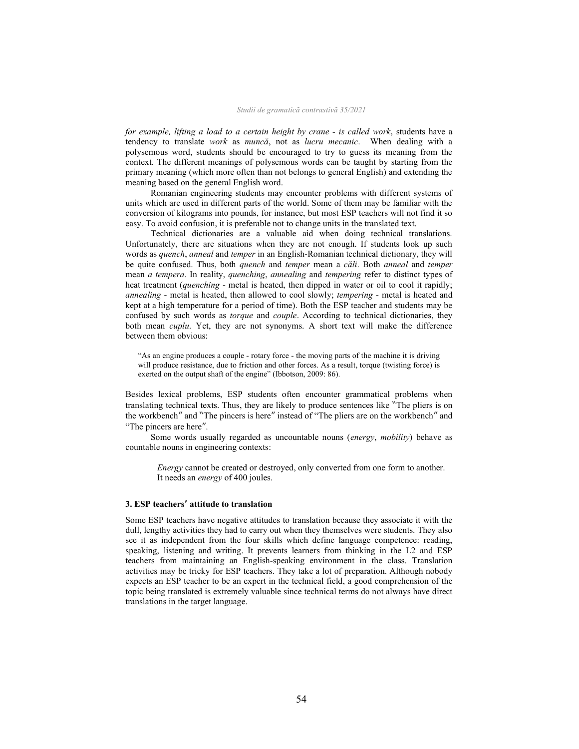for example, lifting a load to a certain height by crane - is called work, students have a tendency to translate work as muncă, not as lucru mecanic. When dealing with a polysemous word, students should be encouraged to try to guess its meaning from the context. The different meanings of polysemous words can be taught by starting from the primary meaning (which more often than not belongs to general English) and extending the meaning based on the general English word.

Romanian engineering students may encounter problems with different systems of units which are used in different parts of the world. Some of them may be familiar with the conversion of kilograms into pounds, for instance, but most ESP teachers will not find it so easy. To avoid confusion, it is preferable not to change units in the translated text.

Technical dictionaries are a valuable aid when doing technical translations. Unfortunately, there are situations when they are not enough. If students look up such words as *quench*, anneal and temper in an English-Romanian technical dictionary, they will be quite confused. Thus, both *quench* and *temper* mean a *căli*. Both *anneal* and *temper* mean *a tempera*. In reality, *quenching*, *annealing* and *tempering* refer to distinct types of heat treatment (*quenching* - metal is heated, then dipped in water or oil to cool it rapidly; annealing - metal is heated, then allowed to cool slowly; *tempering* - metal is heated and kept at a high temperature for a period of time). Both the ESP teacher and students may be confused by such words as torque and couple. According to technical dictionaries, they both mean *cuplu*. Yet, they are not synonyms. A short text will make the difference between them obvious:

"As an engine produces a couple - rotary force - the moving parts of the machine it is driving will produce resistance, due to friction and other forces. As a result, torque (twisting force) is exerted on the output shaft of the engine" (Ibbotson, 2009: 86).

Besides lexical problems, ESP students often encounter grammatical problems when translating technical texts. Thus, they are likely to produce sentences like "The pliers is on the workbench" and "The pincers is here" instead of "The pliers are on the workbench" and "The pincers are here".

Some words usually regarded as uncountable nouns (energy, mobility) behave as countable nouns in engineering contexts:

Energy cannot be created or destroyed, only converted from one form to another. It needs an energy of 400 joules.

#### 3. ESP teachers' attitude to translation

Some ESP teachers have negative attitudes to translation because they associate it with the dull, lengthy activities they had to carry out when they themselves were students. They also see it as independent from the four skills which define language competence: reading, speaking, listening and writing. It prevents learners from thinking in the L2 and ESP teachers from maintaining an English-speaking environment in the class. Translation activities may be tricky for ESP teachers. They take a lot of preparation. Although nobody expects an ESP teacher to be an expert in the technical field, a good comprehension of the topic being translated is extremely valuable since technical terms do not always have direct translations in the target language.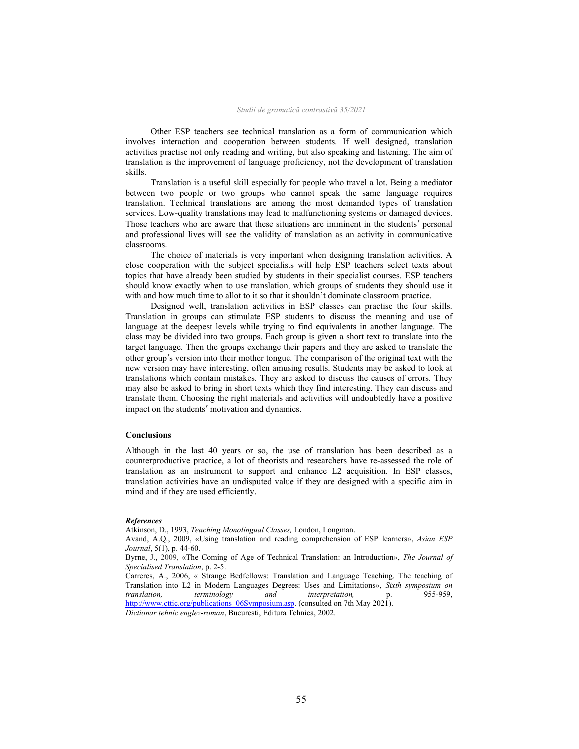Other ESP teachers see technical translation as a form of communication which involves interaction and cooperation between students. If well designed, translation activities practise not only reading and writing, but also speaking and listening. The aim of translation is the improvement of language proficiency, not the development of translation skills.

Translation is a useful skill especially for people who travel a lot. Being a mediator between two people or two groups who cannot speak the same language requires translation. Technical translations are among the most demanded types of translation services. Low-quality translations may lead to malfunctioning systems or damaged devices. Those teachers who are aware that these situations are imminent in the students' personal and professional lives will see the validity of translation as an activity in communicative classrooms.

The choice of materials is very important when designing translation activities. A close cooperation with the subject specialists will help ESP teachers select texts about topics that have already been studied by students in their specialist courses. ESP teachers should know exactly when to use translation, which groups of students they should use it with and how much time to allot to it so that it shouldn't dominate classroom practice.

Designed well, translation activities in ESP classes can practise the four skills. Translation in groups can stimulate ESP students to discuss the meaning and use of language at the deepest levels while trying to find equivalents in another language. The class may be divided into two groups. Each group is given a short text to translate into the target language. Then the groups exchange their papers and they are asked to translate the other group's version into their mother tongue. The comparison of the original text with the new version may have interesting, often amusing results. Students may be asked to look at translations which contain mistakes. They are asked to discuss the causes of errors. They may also be asked to bring in short texts which they find interesting. They can discuss and translate them. Choosing the right materials and activities will undoubtedly have a positive impact on the students' motivation and dynamics.

#### Conclusions

Although in the last 40 years or so, the use of translation has been described as a counterproductive practice, a lot of theorists and researchers have re-assessed the role of translation as an instrument to support and enhance L2 acquisition. In ESP classes, translation activities have an undisputed value if they are designed with a specific aim in mind and if they are used efficiently.

#### **References**

Atkinson, D., 1993, Teaching Monolingual Classes, London, Longman.

Avand, A.Q., 2009, «Using translation and reading comprehension of ESP learners», Asian ESP Journal, 5(1), p. 44-60.

Byrne, J., 2009, «The Coming of Age of Technical Translation: an Introduction», The Journal of Specialised Translation, p. 2-5.

Carreres, A., 2006, « Strange Bedfellows: Translation and Language Teaching. The teaching of Translation into L2 in Modern Languages Degrees: Uses and Limitations», Sixth symposium on translation, terminology and interpretation, p. 955-959, http://www.cttic.org/publications\_06Symposium.asp. (consulted on 7th May 2021). Dictionar tehnic englez-roman, Bucuresti, Editura Tehnica, 2002.